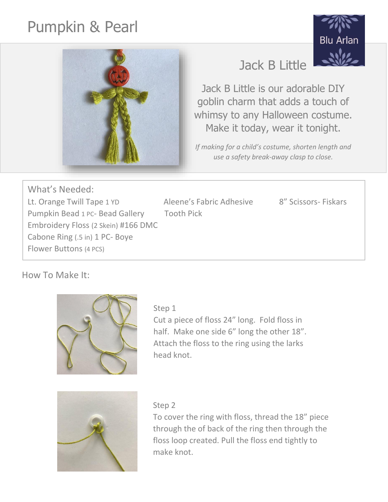# Pumpkin & Pearl





# Jack B Little

Jack B Little is our adorable DIY goblin charm that adds a touch of whimsy to any Halloween costume. Make it today, wear it tonight.

*If making for a child's costume, shorten length and use a safety break-away clasp to close.*

What's Needed: Lt. Orange Twill Tape 1 YD Aleene's Fabric Adhesive 8" Scissors- Fiskars Pumpkin Bead 1 PC- Bead Gallery Tooth Pick Embroidery Floss (2 Skein) #166 DMC Cabone Ring (.5 in) 1 PC- Boye Flower Buttons (4 PCS)

How To Make It:



#### Step 1

Cut a piece of floss 24" long. Fold floss in half. Make one side 6" long the other 18". Attach the floss to the ring using the larks head knot.



#### Step 2

To cover the ring with floss, thread the 18" piece through the of back of the ring then through the floss loop created. Pull the floss end tightly to make knot.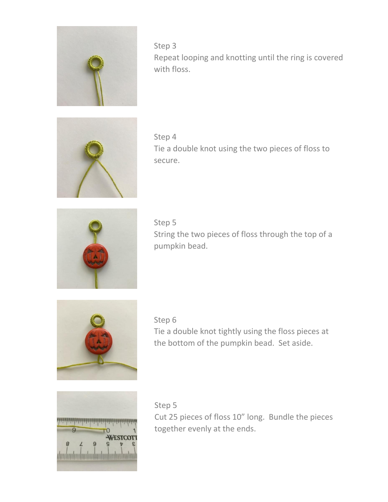

Step 3 Repeat looping and knotting until the ring is covered with floss.



Step 4 Tie a double knot using the two pieces of floss to secure.



Step 5 String the two pieces of floss through the top of a pumpkin bead.



Step 6

Tie a double knot tightly using the floss pieces at the bottom of the pumpkin bead. Set aside.



Step 5 Cut 25 pieces of floss 10" long. Bundle the pieces together evenly at the ends.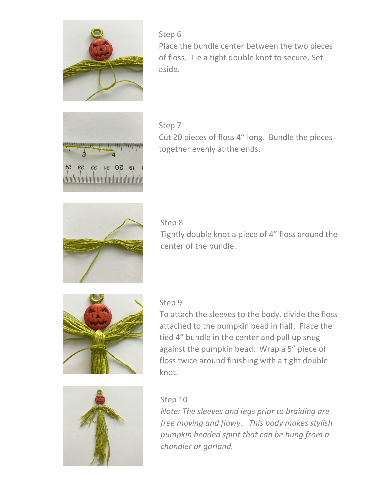

Step 6 Place the bundle center between the two pieces of floss. Tie a tight double knot to secure. Set aside.



Step 7 Cut 20 pieces of floss 4" long. Bundle the pieces together evenly at the ends.



#### Step 8

Tightly double knot a piece of 4" floss around the center of the bundle.



#### Step 9

To attach the sleeves to the body, divide the floss attached to the pumpkin bead in half. Place the tied 4" bundle in the center and pull up snug against the pumpkin bead. Wrap a 5" piece of floss twice around finishing with a tight double knot.



### Step 10

*Note: The sleeves and legs prior to braiding are free moving and flowy. This body makes stylish pumpkin headed spirit that can be hung from a chandler or garland.*